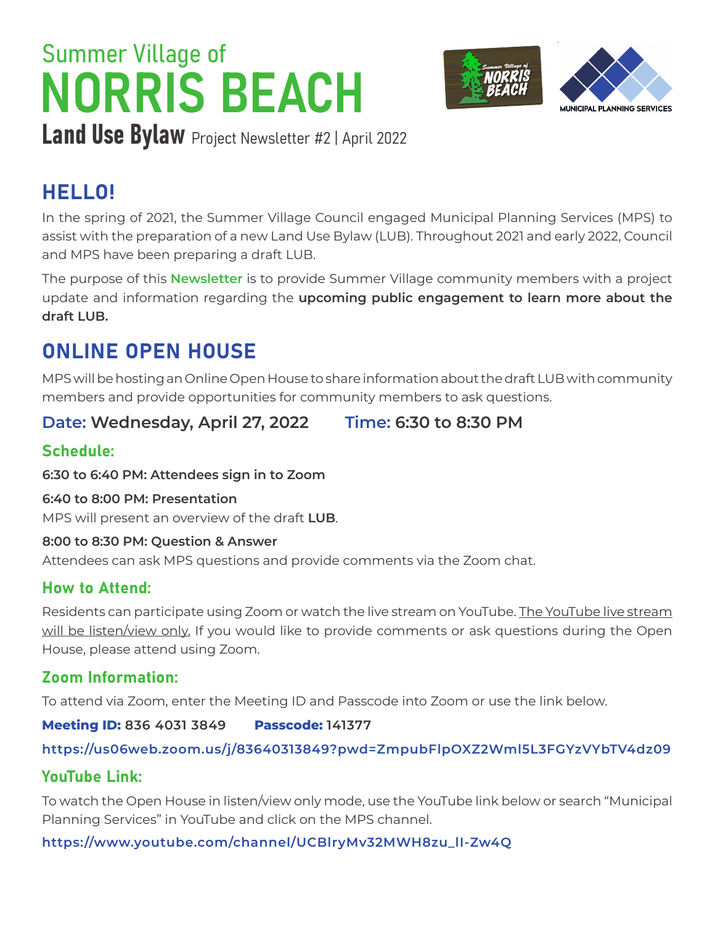# NORRIS BEACH Summer Village of



Land Use Bylaw Project Newsletter #2 | April 2022

# HELLO!

In the spring of 2021, the Summer Village Council engaged Municipal Planning Services (MPS) to assist with the preparation of a new Land Use Bylaw (LUB). Throughout 2021 and early 2022, Council and MPS have been preparing a draft LUB.

The purpose of this **Newsletter** is to provide Summer Village community members with a project update and information regarding the **upcoming public engagement to learn more about the draft LUB.**

# ONLINE OPEN HOUSE

MPS will be hosting an Online Open House to share information about the draft LUB with community members and provide opportunities for community members to ask questions.

**Date: Wednesday, April 27, 2022 Time: 6:30 to 8:30 PM**

# Schedule:

**6:30 to 6:40 PM: Attendees sign in to Zoom**

### **6:40 to 8:00 PM: Presentation**

MPS will present an overview of the draft **LUB**.

### **8:00 to 8:30 PM: Question & Answer**

Attendees can ask MPS questions and provide comments via the Zoom chat.

## How to Attend:

Residents can participate using Zoom or watch the live stream on YouTube. The YouTube live stream will be listen/view only. If you would like to provide comments or ask questions during the Open House, please attend using Zoom.

## Zoom Information:

To attend via Zoom, enter the Meeting ID and Passcode into Zoom or use the link below.

## **Meeting ID: 836 4031 3849 Passcode: 141377**

## **<https://us06web.zoom.us/j/83640313849?pwd=ZmpubFlpOXZ2Wml5L3FGYzVYbTV4dz09>**

## YouTube Link:

To watch the Open House in listen/view only mode, use the YouTube link below or search "Municipal Planning Services" in YouTube and click on the MPS channel.

## **[https://www.youtube.com/channel/UCBlryMv32MWH8zu\\_lI-Zw4Q](https://www.youtube.com/channel/UCBlryMv32MWH8zu_lI-Zw4Q)**